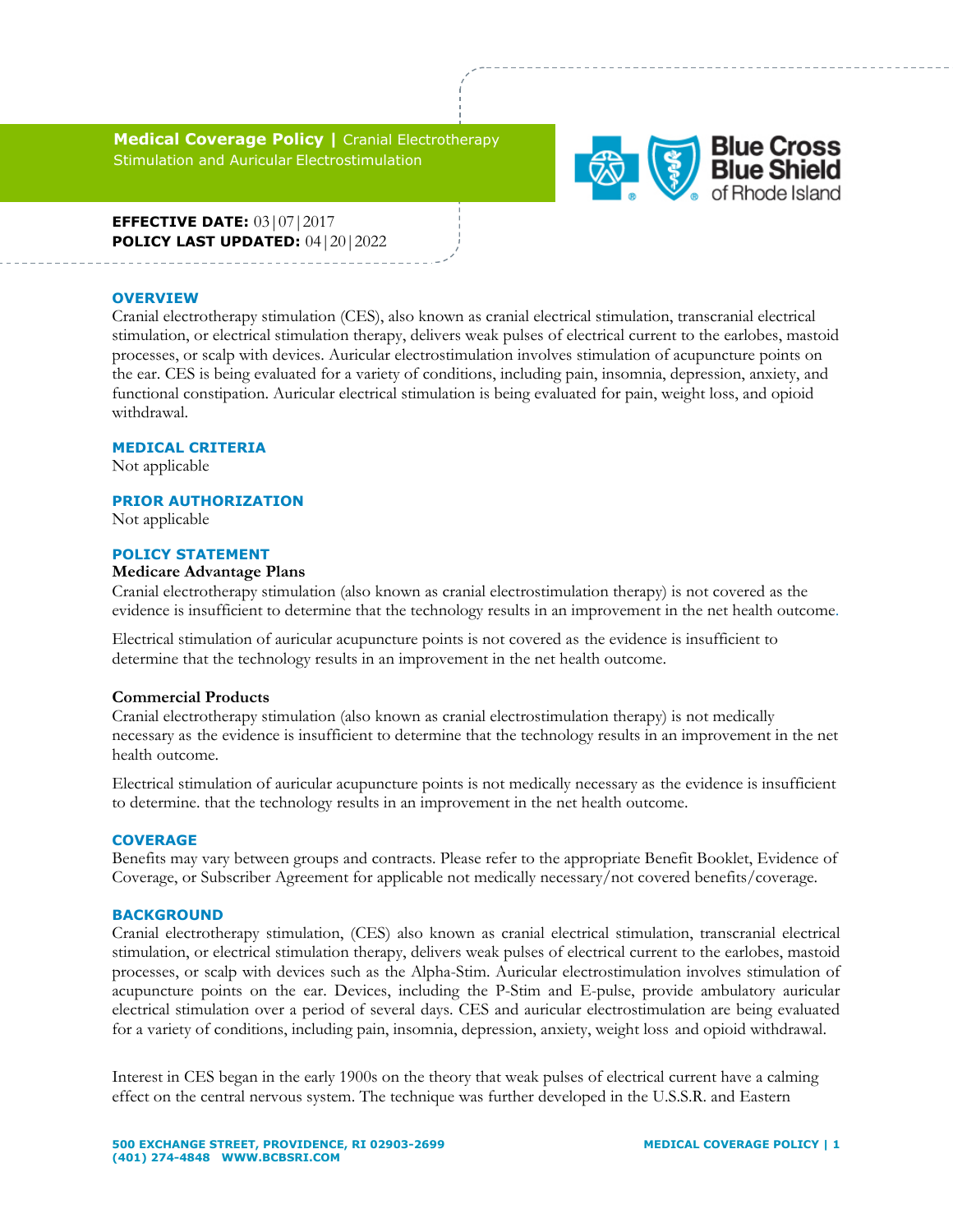**Medical Coverage Policy |** Cranial Electrotherapy Stimulation and Auricular Electrostimulation



**EFFECTIVE DATE:** 03|07|2017 **POLICY LAST UPDATED:** 04|20|2022

### **OVERVIEW**

Cranial electrotherapy stimulation (CES), also known as cranial electrical stimulation, transcranial electrical stimulation, or electrical stimulation therapy, delivers weak pulses of electrical current to the earlobes, mastoid processes, or scalp with devices. Auricular electrostimulation involves stimulation of acupuncture points on the ear. CES is being evaluated for a variety of conditions, including pain, insomnia, depression, anxiety, and functional constipation. Auricular electrical stimulation is being evaluated for pain, weight loss, and opioid withdrawal.

### **MEDICAL CRITERIA**

Not applicable

### **PRIOR AUTHORIZATION**

Not applicable

### **POLICY STATEMENT**

# **Medicare Advantage Plans**

Cranial electrotherapy stimulation (also known as cranial electrostimulation therapy) is not covered as the evidence is insufficient to determine that the technology results in an improvement in the net health outcome.

Electrical stimulation of auricular acupuncture points is not covered as the evidence is insufficient to determine that the technology results in an improvement in the net health outcome.

### **Commercial Products**

Cranial electrotherapy stimulation (also known as cranial electrostimulation therapy) is not medically necessary as the evidence is insufficient to determine that the technology results in an improvement in the net health outcome.

Electrical stimulation of auricular acupuncture points is not medically necessary as the evidence is insufficient to determine. that the technology results in an improvement in the net health outcome.

# **COVERAGE**

Benefits may vary between groups and contracts. Please refer to the appropriate Benefit Booklet, Evidence of Coverage, or Subscriber Agreement for applicable not medically necessary/not covered benefits/coverage.

### **BACKGROUND**

Cranial electrotherapy stimulation, (CES) also known as cranial electrical stimulation, transcranial electrical stimulation, or electrical stimulation therapy, delivers weak pulses of electrical current to the earlobes, mastoid processes, or scalp with devices such as the Alpha-Stim. Auricular electrostimulation involves stimulation of acupuncture points on the ear. Devices, including the P-Stim and E-pulse, provide ambulatory auricular electrical stimulation over a period of several days. CES and auricular electrostimulation are being evaluated for a variety of conditions, including pain, insomnia, depression, anxiety, weight loss and opioid withdrawal.

Interest in CES began in the early 1900s on the theory that weak pulses of electrical current have a calming effect on the central nervous system. The technique was further developed in the U.S.S.R. and Eastern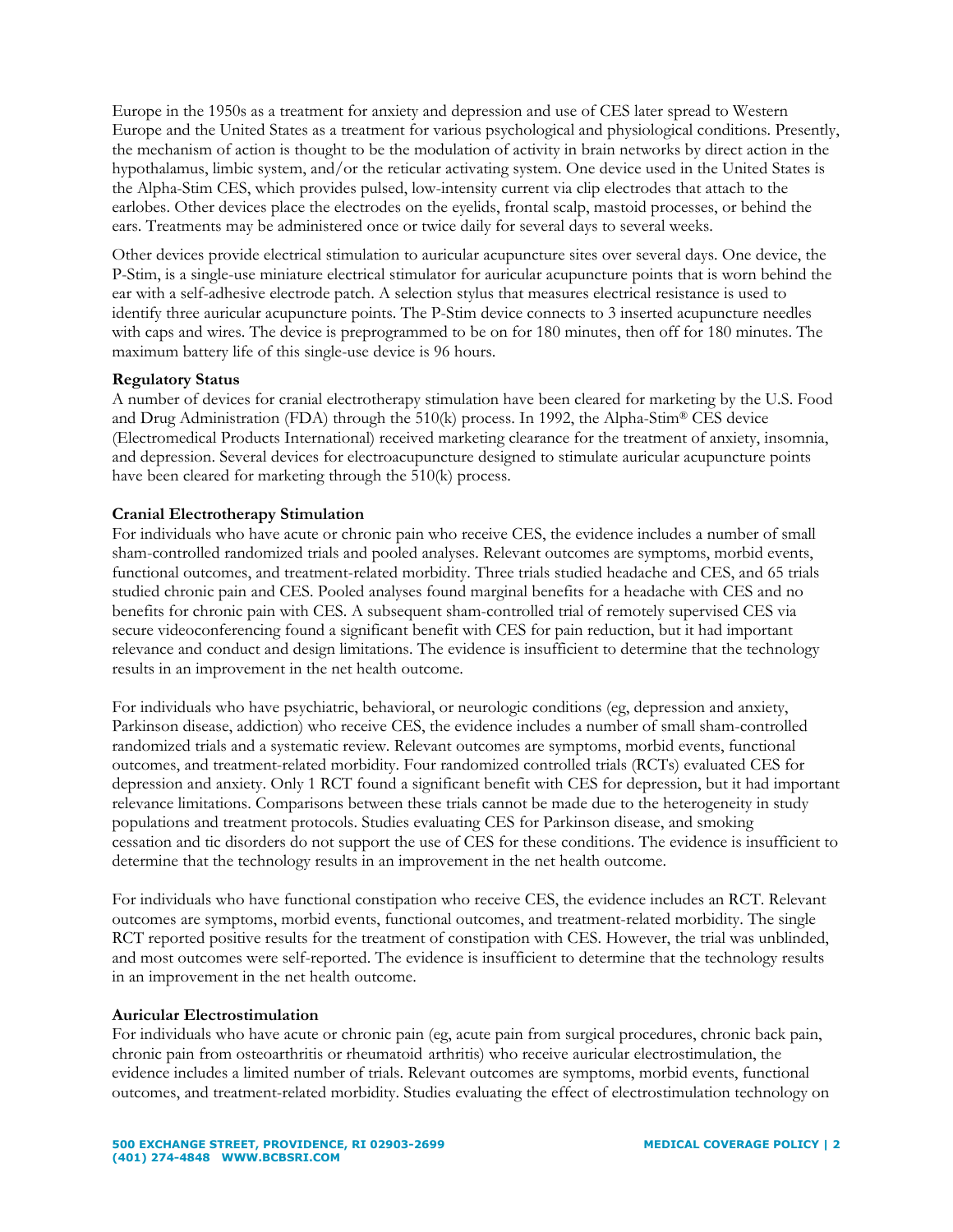Europe in the 1950s as a treatment for anxiety and depression and use of CES later spread to Western Europe and the United States as a treatment for various psychological and physiological conditions. Presently, the mechanism of action is thought to be the modulation of activity in brain networks by direct action in the hypothalamus, limbic system, and/or the reticular activating system. One device used in the United States is the Alpha-Stim CES, which provides pulsed, low-intensity current via clip electrodes that attach to the earlobes. Other devices place the electrodes on the eyelids, frontal scalp, mastoid processes, or behind the ears. Treatments may be administered once or twice daily for several days to several weeks.

Other devices provide electrical stimulation to auricular acupuncture sites over several days. One device, the P-Stim, is a single-use miniature electrical stimulator for auricular acupuncture points that is worn behind the ear with a self-adhesive electrode patch. A selection stylus that measures electrical resistance is used to identify three auricular acupuncture points. The P-Stim device connects to 3 inserted acupuncture needles with caps and wires. The device is preprogrammed to be on for 180 minutes, then off for 180 minutes. The maximum battery life of this single-use device is 96 hours.

# **Regulatory Status**

A number of devices for cranial electrotherapy stimulation have been cleared for marketing by the U.S. Food and Drug Administration (FDA) through the 510(k) process. In 1992, the Alpha-Stim® CES device (Electromedical Products International) received marketing clearance for the treatment of anxiety, insomnia, and depression. Several devices for electroacupuncture designed to stimulate auricular acupuncture points have been cleared for marketing through the 510(k) process.

# **Cranial Electrotherapy Stimulation**

For individuals who have acute or chronic pain who receive CES, the evidence includes a number of small sham-controlled randomized trials and pooled analyses. Relevant outcomes are symptoms, morbid events, functional outcomes, and treatment-related morbidity. Three trials studied headache and CES, and 65 trials studied chronic pain and CES. Pooled analyses found marginal benefits for a headache with CES and no benefits for chronic pain with CES. A subsequent sham-controlled trial of remotely supervised CES via secure videoconferencing found a significant benefit with CES for pain reduction, but it had important relevance and conduct and design limitations. The evidence is insufficient to determine that the technology results in an improvement in the net health outcome.

For individuals who have psychiatric, behavioral, or neurologic conditions (eg, depression and anxiety, Parkinson disease, addiction) who receive CES, the evidence includes a number of small sham-controlled randomized trials and a systematic review. Relevant outcomes are symptoms, morbid events, functional outcomes, and treatment-related morbidity. Four randomized controlled trials (RCTs) evaluated CES for depression and anxiety. Only 1 RCT found a significant benefit with CES for depression, but it had important relevance limitations. Comparisons between these trials cannot be made due to the heterogeneity in study populations and treatment protocols. Studies evaluating CES for Parkinson disease, and smoking cessation and tic disorders do not support the use of CES for these conditions. The evidence is insufficient to determine that the technology results in an improvement in the net health outcome.

For individuals who have functional constipation who receive CES, the evidence includes an RCT. Relevant outcomes are symptoms, morbid events, functional outcomes, and treatment-related morbidity. The single RCT reported positive results for the treatment of constipation with CES. However, the trial was unblinded, and most outcomes were self-reported. The evidence is insufficient to determine that the technology results in an improvement in the net health outcome.

# **Auricular Electrostimulation**

For individuals who have acute or chronic pain (eg, acute pain from surgical procedures, chronic back pain, chronic pain from osteoarthritis or rheumatoid arthritis) who receive auricular electrostimulation, the evidence includes a limited number of trials. Relevant outcomes are symptoms, morbid events, functional outcomes, and treatment-related morbidity. Studies evaluating the effect of electrostimulation technology on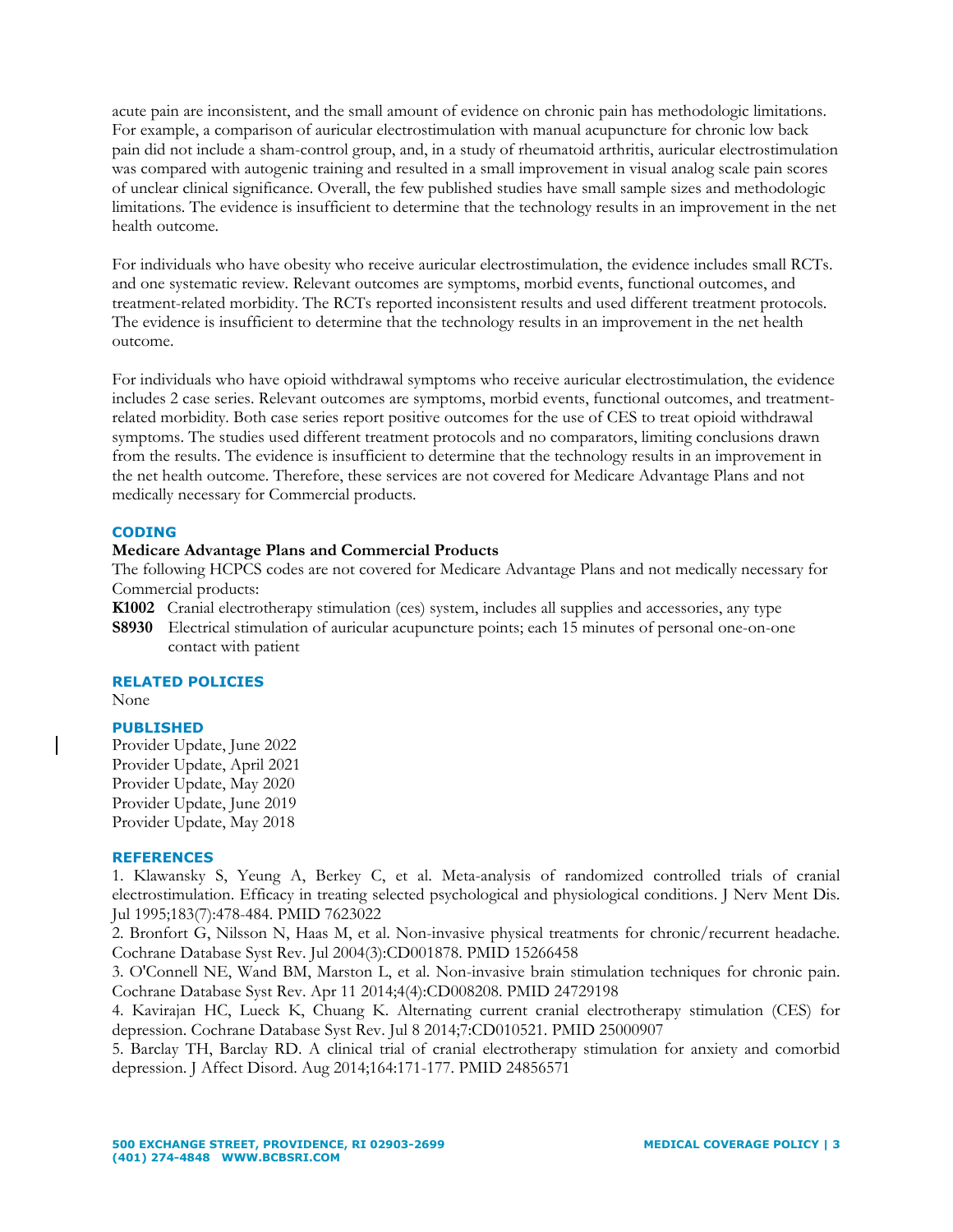acute pain are inconsistent, and the small amount of evidence on chronic pain has methodologic limitations. For example, a comparison of auricular electrostimulation with manual acupuncture for chronic low back pain did not include a sham-control group, and, in a study of rheumatoid arthritis, auricular electrostimulation was compared with autogenic training and resulted in a small improvement in visual analog scale pain scores of unclear clinical significance. Overall, the few published studies have small sample sizes and methodologic limitations. The evidence is insufficient to determine that the technology results in an improvement in the net health outcome.

For individuals who have obesity who receive auricular electrostimulation, the evidence includes small RCTs. and one systematic review. Relevant outcomes are symptoms, morbid events, functional outcomes, and treatment-related morbidity. The RCTs reported inconsistent results and used different treatment protocols. The evidence is insufficient to determine that the technology results in an improvement in the net health outcome.

For individuals who have opioid withdrawal symptoms who receive auricular electrostimulation, the evidence includes 2 case series. Relevant outcomes are symptoms, morbid events, functional outcomes, and treatmentrelated morbidity. Both case series report positive outcomes for the use of CES to treat opioid withdrawal symptoms. The studies used different treatment protocols and no comparators, limiting conclusions drawn from the results. The evidence is insufficient to determine that the technology results in an improvement in the net health outcome. Therefore, these services are not covered for Medicare Advantage Plans and not medically necessary for Commercial products.

### **CODING**

# **Medicare Advantage Plans and Commercial Products**

The following HCPCS codes are not covered for Medicare Advantage Plans and not medically necessary for Commercial products:

**K1002** Cranial electrotherapy stimulation (ces) system, includes all supplies and accessories, any type

**S8930** Electrical stimulation of auricular acupuncture points; each 15 minutes of personal one-on-one contact with patient

### **RELATED POLICIES**

None

### **PUBLISHED**

Provider Update, June 2022 Provider Update, April 2021 Provider Update, May 2020 Provider Update, June 2019 Provider Update, May 2018

### **REFERENCES**

1. Klawansky S, Yeung A, Berkey C, et al. Meta-analysis of randomized controlled trials of cranial electrostimulation. Efficacy in treating selected psychological and physiological conditions. J Nerv Ment Dis. Jul 1995;183(7):478-484. PMID 7623022

2. Bronfort G, Nilsson N, Haas M, et al. Non-invasive physical treatments for chronic/recurrent headache. Cochrane Database Syst Rev. Jul 2004(3):CD001878. PMID 15266458

3. O'Connell NE, Wand BM, Marston L, et al. Non-invasive brain stimulation techniques for chronic pain. Cochrane Database Syst Rev. Apr 11 2014;4(4):CD008208. PMID 24729198

4. Kavirajan HC, Lueck K, Chuang K. Alternating current cranial electrotherapy stimulation (CES) for depression. Cochrane Database Syst Rev. Jul 8 2014;7:CD010521. PMID 25000907

5. Barclay TH, Barclay RD. A clinical trial of cranial electrotherapy stimulation for anxiety and comorbid depression. J Affect Disord. Aug 2014;164:171-177. PMID 24856571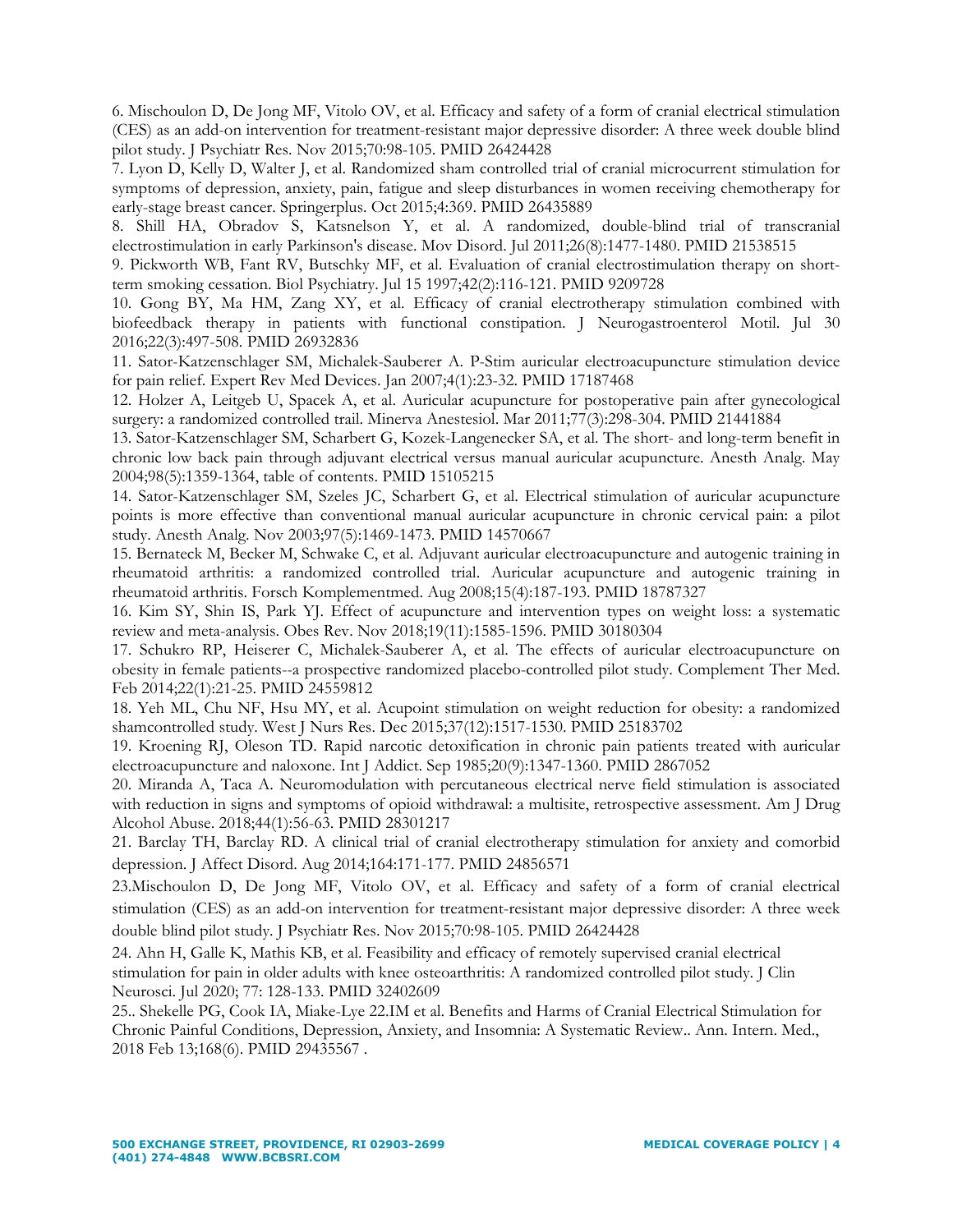6. Mischoulon D, De Jong MF, Vitolo OV, et al. Efficacy and safety of a form of cranial electrical stimulation (CES) as an add-on intervention for treatment-resistant major depressive disorder: A three week double blind pilot study. J Psychiatr Res. Nov 2015;70:98-105. PMID 26424428

7. Lyon D, Kelly D, Walter J, et al. Randomized sham controlled trial of cranial microcurrent stimulation for symptoms of depression, anxiety, pain, fatigue and sleep disturbances in women receiving chemotherapy for early-stage breast cancer. Springerplus. Oct 2015;4:369. PMID 26435889

8. Shill HA, Obradov S, Katsnelson Y, et al. A randomized, double-blind trial of transcranial electrostimulation in early Parkinson's disease. Mov Disord. Jul 2011;26(8):1477-1480. PMID 21538515

9. Pickworth WB, Fant RV, Butschky MF, et al. Evaluation of cranial electrostimulation therapy on shortterm smoking cessation. Biol Psychiatry. Jul 15 1997;42(2):116-121. PMID 9209728

10. Gong BY, Ma HM, Zang XY, et al. Efficacy of cranial electrotherapy stimulation combined with biofeedback therapy in patients with functional constipation. J Neurogastroenterol Motil. Jul 30 2016;22(3):497-508. PMID 26932836

11. Sator-Katzenschlager SM, Michalek-Sauberer A. P-Stim auricular electroacupuncture stimulation device for pain relief. Expert Rev Med Devices. Jan 2007;4(1):23-32. PMID 17187468

12. Holzer A, Leitgeb U, Spacek A, et al. Auricular acupuncture for postoperative pain after gynecological surgery: a randomized controlled trail. Minerva Anestesiol. Mar 2011;77(3):298-304. PMID 21441884

13. Sator-Katzenschlager SM, Scharbert G, Kozek-Langenecker SA, et al. The short- and long-term benefit in chronic low back pain through adjuvant electrical versus manual auricular acupuncture. Anesth Analg. May 2004;98(5):1359-1364, table of contents. PMID 15105215

14. Sator-Katzenschlager SM, Szeles JC, Scharbert G, et al. Electrical stimulation of auricular acupuncture points is more effective than conventional manual auricular acupuncture in chronic cervical pain: a pilot study. Anesth Analg. Nov 2003;97(5):1469-1473. PMID 14570667

15. Bernateck M, Becker M, Schwake C, et al. Adjuvant auricular electroacupuncture and autogenic training in rheumatoid arthritis: a randomized controlled trial. Auricular acupuncture and autogenic training in rheumatoid arthritis. Forsch Komplementmed. Aug 2008;15(4):187-193. PMID 18787327

16. Kim SY, Shin IS, Park YJ. Effect of acupuncture and intervention types on weight loss: a systematic review and meta-analysis. Obes Rev. Nov 2018;19(11):1585-1596. PMID 30180304

17. Schukro RP, Heiserer C, Michalek-Sauberer A, et al. The effects of auricular electroacupuncture on obesity in female patients--a prospective randomized placebo-controlled pilot study. Complement Ther Med. Feb 2014;22(1):21-25. PMID 24559812

18. Yeh ML, Chu NF, Hsu MY, et al. Acupoint stimulation on weight reduction for obesity: a randomized shamcontrolled study. West J Nurs Res. Dec 2015;37(12):1517-1530. PMID 25183702

19. Kroening RJ, Oleson TD. Rapid narcotic detoxification in chronic pain patients treated with auricular electroacupuncture and naloxone. Int J Addict. Sep 1985;20(9):1347-1360. PMID 2867052

20. Miranda A, Taca A. Neuromodulation with percutaneous electrical nerve field stimulation is associated with reduction in signs and symptoms of opioid withdrawal: a multisite, retrospective assessment. Am J Drug Alcohol Abuse. 2018;44(1):56-63. PMID 28301217

21. Barclay TH, Barclay RD. A clinical trial of cranial electrotherapy stimulation for anxiety and comorbid depression. J Affect Disord. Aug 2014;164:171-177. PMID 24856571

23.Mischoulon D, De Jong MF, Vitolo OV, et al. Efficacy and safety of a form of cranial electrical stimulation (CES) as an add-on intervention for treatment-resistant major depressive disorder: A three week double blind pilot study. J Psychiatr Res. Nov 2015;70:98-105. PMID 26424428

24. Ahn H, Galle K, Mathis KB, et al. Feasibility and efficacy of remotely supervised cranial electrical stimulation for pain in older adults with knee osteoarthritis: A randomized controlled pilot study. J Clin Neurosci. Jul 2020; 77: 128-133. PMID 32402609

25.. Shekelle PG, Cook IA, Miake-Lye 22.IM et al. Benefits and Harms of Cranial Electrical Stimulation for Chronic Painful Conditions, Depression, Anxiety, and Insomnia: A Systematic Review.. Ann. Intern. Med., 2018 Feb 13;168(6). PMID 29435567 .